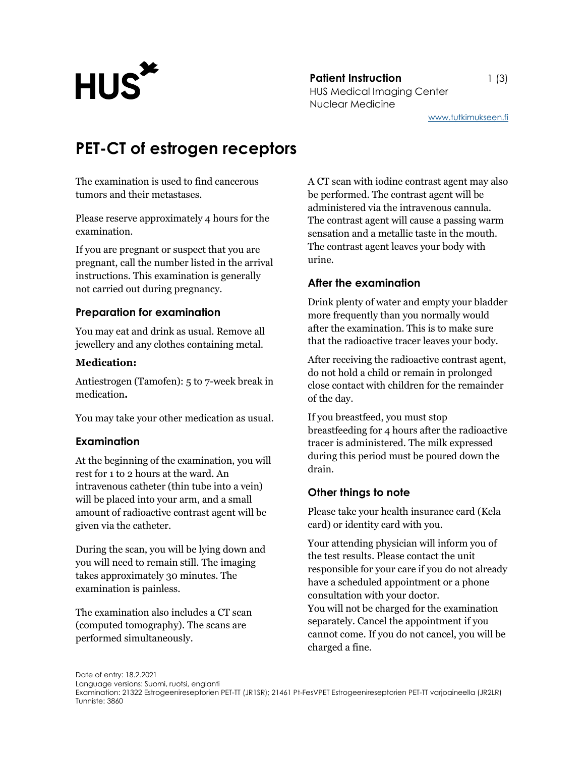**Patient Instruction** 1 (3) Patient Instruction<br>HUS Medical Imaging Center Nuclear Medicine

www.tutkimukseen.fi

# PET-CT of estrogen receptors

The examination is used to find cancerous tumors and their metastases.

Please reserve approximately 4 hours for the examination.

If you are pregnant or suspect that you are pregnant, call the number listed in the arrival instructions. This examination is generally not carried out during pregnancy.

# Preparation for examination

You may eat and drink as usual. Remove all jewellery and any clothes containing metal.

### Medication:

Antiestrogen (Tamofen): 5 to 7-week break in medication.

You may take your other medication as usual.

## Examination

At the beginning of the examination, you will rest for 1 to 2 hours at the ward. An intravenous catheter (thin tube into a vein) will be placed into your arm, and a small amount of radioactive contrast agent will be given via the catheter.

During the scan, you will be lying down and you will need to remain still. The imaging takes approximately 30 minutes. The examination is painless.

The examination also includes a CT scan (computed tomography). The scans are performed simultaneously.

A CT scan with iodine contrast agent may also be performed. The contrast agent will be administered via the intravenous cannula. The contrast agent will cause a passing warm sensation and a metallic taste in the mouth. The contrast agent leaves your body with urine.

# After the examination

Drink plenty of water and empty your bladder more frequently than you normally would after the examination. This is to make sure that the radioactive tracer leaves your body.

After receiving the radioactive contrast agent, do not hold a child or remain in prolonged close contact with children for the remainder of the day.

If you breastfeed, you must stop breastfeeding for 4 hours after the radioactive tracer is administered. The milk expressed during this period must be poured down the drain.

# Other things to note

Please take your health insurance card (Kela card) or identity card with you.

Your attending physician will inform you of the test results. Please contact the unit responsible for your care if you do not already have a scheduled appointment or a phone consultation with your doctor. You will not be charged for the examination separately. Cancel the appointment if you cannot come. If you do not cancel, you will be charged a fine.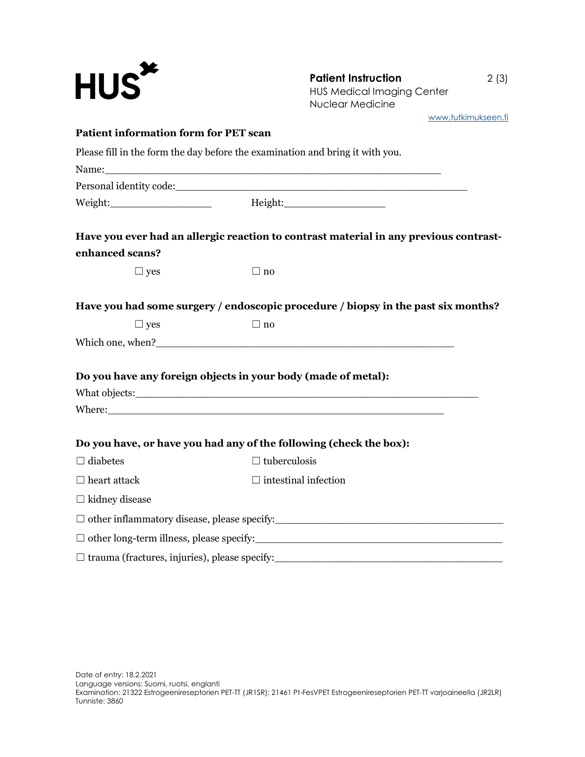| $HUS^{\star}$                                                 | <b>Patient Instruction</b><br><b>HUS Medical Imaging Center</b><br><b>Nuclear Medicine</b>                                                                                                                                           | 2(3)                |
|---------------------------------------------------------------|--------------------------------------------------------------------------------------------------------------------------------------------------------------------------------------------------------------------------------------|---------------------|
| <b>Patient information form for PET scan</b>                  |                                                                                                                                                                                                                                      | www.tutkimukseen.fi |
|                                                               |                                                                                                                                                                                                                                      |                     |
|                                                               | Please fill in the form the day before the examination and bring it with you.                                                                                                                                                        |                     |
|                                                               |                                                                                                                                                                                                                                      |                     |
|                                                               |                                                                                                                                                                                                                                      |                     |
|                                                               | Have you ever had an allergic reaction to contrast material in any previous contrast-                                                                                                                                                |                     |
| enhanced scans?                                               |                                                                                                                                                                                                                                      |                     |
| $\Box$ yes                                                    | $\Box$ no                                                                                                                                                                                                                            |                     |
|                                                               | Have you had some surgery / endoscopic procedure / biopsy in the past six months?                                                                                                                                                    |                     |
| $\Box$ yes                                                    | $\Box$ no                                                                                                                                                                                                                            |                     |
|                                                               |                                                                                                                                                                                                                                      |                     |
| Do you have any foreign objects in your body (made of metal): |                                                                                                                                                                                                                                      |                     |
|                                                               |                                                                                                                                                                                                                                      |                     |
|                                                               | Where: <u>the contract of the contract of the contract of the contract of the contract of the contract of the contract of the contract of the contract of the contract of the contract of the contract of the contract of the co</u> |                     |
|                                                               | Do you have, or have you had any of the following (check the box):                                                                                                                                                                   |                     |
| $\Box$ diabetes                                               | $\Box$ tuberculosis                                                                                                                                                                                                                  |                     |
| $\Box$ heart attack                                           | $\Box$ intestinal infection                                                                                                                                                                                                          |                     |
| $\Box$ kidney disease                                         |                                                                                                                                                                                                                                      |                     |
|                                                               |                                                                                                                                                                                                                                      |                     |
|                                                               |                                                                                                                                                                                                                                      |                     |
|                                                               |                                                                                                                                                                                                                                      |                     |